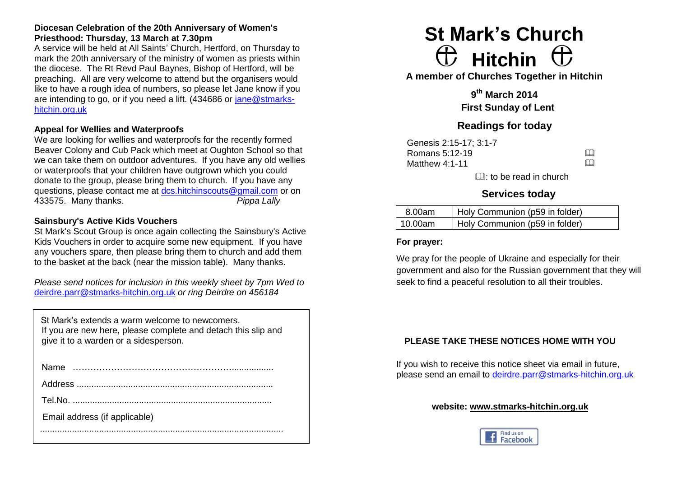# **Diocesan Celebration of the 20th Anniversary of Women's Priesthood: Thursday, 13 March at 7.30pm**

A service will be held at All Saints' Church, Hertford, on Thursday to mark the 20th anniversary of the ministry of women as priests within the diocese. The Rt Revd Paul Baynes, Bishop of Hertford, will be preaching. All are very welcome to attend but the organisers would like to have a rough idea of numbers, so please let Jane know if you are intending to go, or if you need a lift. (434686 or [jane@stmarks](mailto:jane@stmarks-hitchin.org.uk)[hitchin.org.uk](mailto:jane@stmarks-hitchin.org.uk)

#### **Appeal for Wellies and Waterproofs**

We are looking for wellies and waterproofs for the recently formed Beaver Colony and Cub Pack which meet at Oughton School so that we can take them on outdoor adventures. If you have any old wellies or waterproofs that your children have outgrown which you could donate to the group, please bring them to church. If you have any questions, please contact me at [dcs.hitchinscouts@gmail.com](mailto:dcs.hitchinscouts@gmail.com) or on 433575. Many thanks. *Pippa Lally* 

## **Sainsbury's Active Kids Vouchers**

St Mark's Scout Group is once again collecting the Sainsbury's Active Kids Vouchers in order to acquire some new equipment. If you have any vouchers spare, then please bring them to church and add them to the basket at the back (near the mission table). Many thanks.

*Please send notices for inclusion in this weekly sheet by 7pm Wed to* [deirdre.parr@stmarks-hitchin.org.uk](mailto:deirdre.parr@stmarks-hitchin.org.uk) *or ring Deirdre on 456184*

| St Mark's extends a warm welcome to newcomers.                |
|---------------------------------------------------------------|
| If you are new here, please complete and detach this slip and |
| give it to a warden or a sidesperson.                         |
|                                                               |

| <b>Name</b>                   |
|-------------------------------|
|                               |
|                               |
| Email address (if applicable) |
|                               |

# **St Mark's Church**  $\oplus$  Hitchin  $\oplus$

**A member of Churches Together in Hitchin**

**9 th March 2014 First Sunday of Lent**

# **Readings for today**

Genesis 2:15-17; 3:1-7 Romans 5:12-19  $\Box$ <br>Matthew 4:1-11 Matthew 4:1-11

 $\Box$ : to be read in church

# **Services today**

| 8.00am  | Holy Communion (p59 in folder) |
|---------|--------------------------------|
| 10.00am | Holy Communion (p59 in folder) |

## **For prayer:**

We pray for the people of Ukraine and especially for their government and also for the Russian government that they will seek to find a peaceful resolution to all their troubles.

# **PLEASE TAKE THESE NOTICES HOME WITH YOU**

If you wish to receive this notice sheet via email in future, please send an email to [deirdre.parr@stmarks-hitchin.org.uk](mailto:deirdre.parr@stmarks-hitchin.org.uk)

## **website: [www.stmarks-hitchin.org.uk](http://www.stmarks-hitchin.org.uk/)**

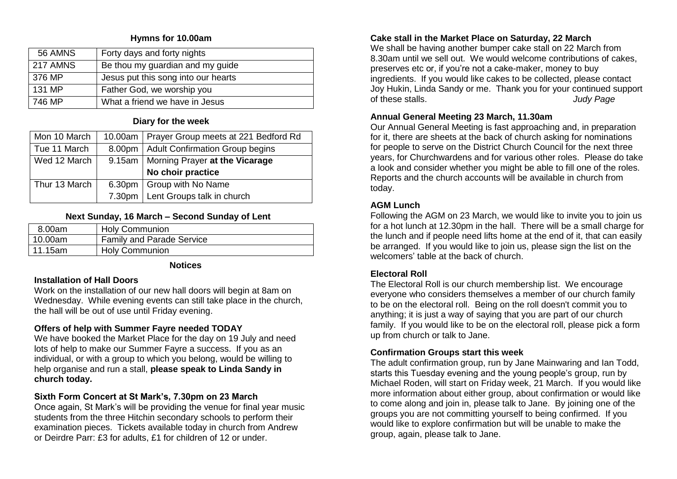# **Hymns for 10.00am**

| 56 AMNS  | Forty days and forty nights         |
|----------|-------------------------------------|
| 217 AMNS | Be thou my guardian and my guide    |
| 376 MP   | Jesus put this song into our hearts |
| 131 MP   | Father God, we worship you          |
| 746 MP   | What a friend we have in Jesus      |
|          |                                     |

#### **Diary for the week**

| Mon 10 March  | 10.00am   Prayer Group meets at 221 Bedford Rd |
|---------------|------------------------------------------------|
| Tue 11 March  | 8.00pm   Adult Confirmation Group begins       |
| Wed 12 March  | 9.15am   Morning Prayer at the Vicarage        |
|               | No choir practice                              |
| Thur 13 March | 6.30pm   Group with No Name                    |
|               | 7.30pm   Lent Groups talk in church            |

## **Next Sunday, 16 March – Second Sunday of Lent**

| 8.00am    | <b>Holy Communion</b>            |
|-----------|----------------------------------|
| 10.00am   | <b>Family and Parade Service</b> |
| l 11.15am | <b>Holy Communion</b>            |

#### **Notices**

## **Installation of Hall Doors**

Work on the installation of our new hall doors will begin at 8am on Wednesday. While evening events can still take place in the church, the hall will be out of use until Friday evening.

# **Offers of help with Summer Fayre needed TODAY**

We have booked the Market Place for the day on 19 July and need lots of help to make our Summer Fayre a success. If you as an individual, or with a group to which you belong, would be willing to help organise and run a stall, **please speak to Linda Sandy in church today.**

# **Sixth Form Concert at St Mark's, 7.30pm on 23 March**

Once again, St Mark's will be providing the venue for final year music students from the three Hitchin secondary schools to perform their examination pieces. Tickets available today in church from Andrew or Deirdre Parr: £3 for adults, £1 for children of 12 or under.

# **Cake stall in the Market Place on Saturday, 22 March**

We shall be having another bumper cake stall on 22 March from 8.30am until we sell out. We would welcome contributions of cakes, preserves etc or, if you're not a cake-maker, money to buy ingredients. If you would like cakes to be collected, please contact Joy Hukin, Linda Sandy or me. Thank you for your continued support of these stalls. *Judy Page*

# **Annual General Meeting 23 March, 11.30am**

Our Annual General Meeting is fast approaching and, in preparation for it, there are sheets at the back of church asking for nominations for people to serve on the District Church Council for the next three years, for Churchwardens and for various other roles. Please do take a look and consider whether you might be able to fill one of the roles. Reports and the church accounts will be available in church from today.

# **AGM Lunch**

Following the AGM on 23 March, we would like to invite you to join us for a hot lunch at 12.30pm in the hall. There will be a small charge for the lunch and if people need lifts home at the end of it, that can easily be arranged. If you would like to join us, please sign the list on the welcomers' table at the back of church.

# **Electoral Roll**

The Electoral Roll is our church membership list. We encourage everyone who considers themselves a member of our church family to be on the electoral roll. Being on the roll doesn't commit you to anything; it is just a way of saying that you are part of our church family. If you would like to be on the electoral roll, please pick a form up from church or talk to Jane.

# **Confirmation Groups start this week**

The adult confirmation group, run by Jane Mainwaring and Ian Todd, starts this Tuesday evening and the young people's group, run by Michael Roden, will start on Friday week, 21 March. If you would like more information about either group, about confirmation or would like to come along and join in, please talk to Jane. By joining one of the groups you are not committing yourself to being confirmed. If you would like to explore confirmation but will be unable to make the group, again, please talk to Jane.